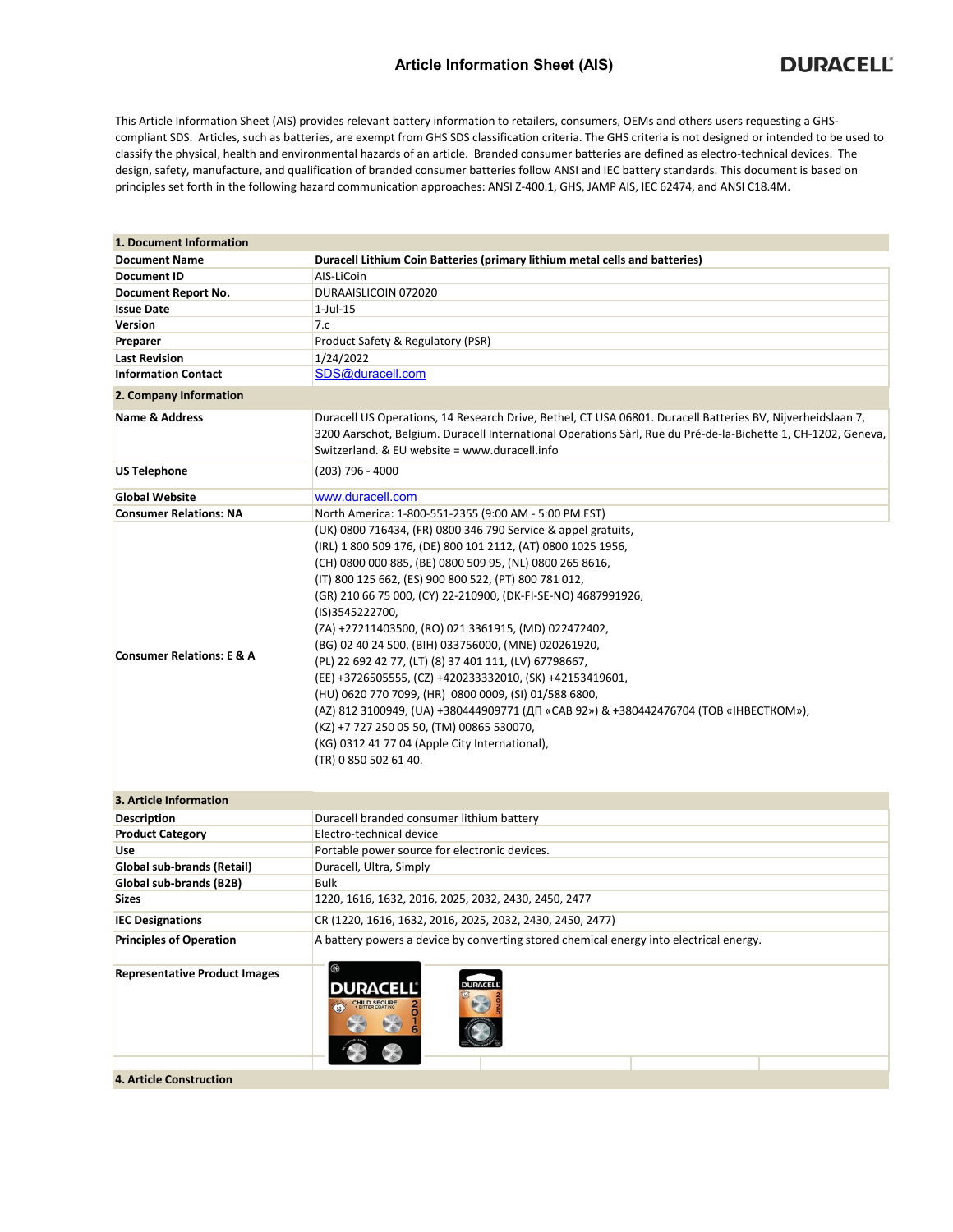## **Article Information Sheet (AIS)**

This Article Information Sheet (AIS) provides relevant battery information to retailers, consumers, OEMs and others users requesting a GHScompliant SDS. Articles, such as batteries, are exempt from GHS SDS classification criteria. The GHS criteria is not designed or intended to be used to classify the physical, health and environmental hazards of an article. Branded consumer batteries are defined as electro-technical devices. The design, safety, manufacture, and qualification of branded consumer batteries follow ANSI and IEC battery standards. This document is based on principles set forth in the following hazard communication approaches: ANSI Z-400.1, GHS, JAMP AIS, IEC 62474, and ANSI C18.4M.

| 1. Document Information              |                                                                                                                                                                                                                                                                                                                                                                                                                                                                                                                                                                                                                                                                                                                                                                                                                                                        |  |  |  |  |  |
|--------------------------------------|--------------------------------------------------------------------------------------------------------------------------------------------------------------------------------------------------------------------------------------------------------------------------------------------------------------------------------------------------------------------------------------------------------------------------------------------------------------------------------------------------------------------------------------------------------------------------------------------------------------------------------------------------------------------------------------------------------------------------------------------------------------------------------------------------------------------------------------------------------|--|--|--|--|--|
| <b>Document Name</b>                 | Duracell Lithium Coin Batteries (primary lithium metal cells and batteries)                                                                                                                                                                                                                                                                                                                                                                                                                                                                                                                                                                                                                                                                                                                                                                            |  |  |  |  |  |
| <b>Document ID</b>                   | AIS-LiCoin                                                                                                                                                                                                                                                                                                                                                                                                                                                                                                                                                                                                                                                                                                                                                                                                                                             |  |  |  |  |  |
| Document Report No.                  | DURAAISLICOIN 072020                                                                                                                                                                                                                                                                                                                                                                                                                                                                                                                                                                                                                                                                                                                                                                                                                                   |  |  |  |  |  |
| <b>Issue Date</b>                    | $1$ -Jul- $15$                                                                                                                                                                                                                                                                                                                                                                                                                                                                                                                                                                                                                                                                                                                                                                                                                                         |  |  |  |  |  |
| Version                              | 7.c                                                                                                                                                                                                                                                                                                                                                                                                                                                                                                                                                                                                                                                                                                                                                                                                                                                    |  |  |  |  |  |
| Preparer                             | Product Safety & Regulatory (PSR)                                                                                                                                                                                                                                                                                                                                                                                                                                                                                                                                                                                                                                                                                                                                                                                                                      |  |  |  |  |  |
| <b>Last Revision</b>                 | 1/24/2022                                                                                                                                                                                                                                                                                                                                                                                                                                                                                                                                                                                                                                                                                                                                                                                                                                              |  |  |  |  |  |
| <b>Information Contact</b>           | SDS@duracell.com                                                                                                                                                                                                                                                                                                                                                                                                                                                                                                                                                                                                                                                                                                                                                                                                                                       |  |  |  |  |  |
| 2. Company Information               |                                                                                                                                                                                                                                                                                                                                                                                                                                                                                                                                                                                                                                                                                                                                                                                                                                                        |  |  |  |  |  |
| <b>Name &amp; Address</b>            | Duracell US Operations, 14 Research Drive, Bethel, CT USA 06801. Duracell Batteries BV, Nijverheidslaan 7,<br>3200 Aarschot, Belgium. Duracell International Operations Sàrl, Rue du Pré-de-la-Bichette 1, CH-1202, Geneva,<br>Switzerland. & EU website = www.duracell.info                                                                                                                                                                                                                                                                                                                                                                                                                                                                                                                                                                           |  |  |  |  |  |
| <b>US Telephone</b>                  | (203) 796 - 4000                                                                                                                                                                                                                                                                                                                                                                                                                                                                                                                                                                                                                                                                                                                                                                                                                                       |  |  |  |  |  |
| <b>Global Website</b>                | www.duracell.com                                                                                                                                                                                                                                                                                                                                                                                                                                                                                                                                                                                                                                                                                                                                                                                                                                       |  |  |  |  |  |
| <b>Consumer Relations: NA</b>        | North America: 1-800-551-2355 (9:00 AM - 5:00 PM EST)                                                                                                                                                                                                                                                                                                                                                                                                                                                                                                                                                                                                                                                                                                                                                                                                  |  |  |  |  |  |
| <b>Consumer Relations: E &amp; A</b> | (UK) 0800 716434, (FR) 0800 346 790 Service & appel gratuits,<br>(IRL) 1 800 509 176, (DE) 800 101 2112, (AT) 0800 1025 1956,<br>(CH) 0800 000 885, (BE) 0800 509 95, (NL) 0800 265 8616,<br>(IT) 800 125 662, (ES) 900 800 522, (PT) 800 781 012,<br>(GR) 210 66 75 000, (CY) 22-210900, (DK-FI-SE-NO) 4687991926,<br>(IS)3545222700,<br>(ZA) +27211403500, (RO) 021 3361915, (MD) 022472402,<br>(BG) 02 40 24 500, (BIH) 033756000, (MNE) 020261920,<br>(PL) 22 692 42 77, (LT) (8) 37 401 111, (LV) 67798667,<br>(EE) +3726505555, (CZ) +420233332010, (SK) +42153419601,<br>(HU) 0620 770 7099, (HR) 0800 0009, (SI) 01/588 6800,<br>(AZ) 812 3100949, (UA) +380444909771 (ДП «САВ 92») & +380442476704 (ТОВ «ІНВЕСТКОМ»),<br>(KZ) +7 727 250 05 50, (TM) 00865 530070,<br>(KG) 0312 41 77 04 (Apple City International),<br>(TR) 0 850 502 61 40. |  |  |  |  |  |
| 3. Article Information               |                                                                                                                                                                                                                                                                                                                                                                                                                                                                                                                                                                                                                                                                                                                                                                                                                                                        |  |  |  |  |  |
| <b>Description</b>                   | Duracell branded consumer lithium battery                                                                                                                                                                                                                                                                                                                                                                                                                                                                                                                                                                                                                                                                                                                                                                                                              |  |  |  |  |  |
| <b>Product Category</b>              | Electro-technical device                                                                                                                                                                                                                                                                                                                                                                                                                                                                                                                                                                                                                                                                                                                                                                                                                               |  |  |  |  |  |
| Use                                  | Portable power source for electronic devices.                                                                                                                                                                                                                                                                                                                                                                                                                                                                                                                                                                                                                                                                                                                                                                                                          |  |  |  |  |  |
| Global sub-brands (Retail)           | Duracell, Ultra, Simply                                                                                                                                                                                                                                                                                                                                                                                                                                                                                                                                                                                                                                                                                                                                                                                                                                |  |  |  |  |  |
| Global sub-brands (B2B)              | Bulk                                                                                                                                                                                                                                                                                                                                                                                                                                                                                                                                                                                                                                                                                                                                                                                                                                                   |  |  |  |  |  |
| <b>Sizes</b>                         | 1220, 1616, 1632, 2016, 2025, 2032, 2430, 2450, 2477                                                                                                                                                                                                                                                                                                                                                                                                                                                                                                                                                                                                                                                                                                                                                                                                   |  |  |  |  |  |
| <b>IEC Designations</b>              | CR (1220, 1616, 1632, 2016, 2025, 2032, 2430, 2450, 2477)                                                                                                                                                                                                                                                                                                                                                                                                                                                                                                                                                                                                                                                                                                                                                                                              |  |  |  |  |  |
| <b>Principles of Operation</b>       | A battery powers a device by converting stored chemical energy into electrical energy.                                                                                                                                                                                                                                                                                                                                                                                                                                                                                                                                                                                                                                                                                                                                                                 |  |  |  |  |  |
| <b>Representative Product Images</b> | $^{\circledR}$<br><b>DURACELI</b><br>DURACELL<br><b>CHILD SECURE</b><br>$\frac{1}{6}$<br>$\left( \frac{1}{2} \right)$                                                                                                                                                                                                                                                                                                                                                                                                                                                                                                                                                                                                                                                                                                                                  |  |  |  |  |  |
| 4. Article Construction              |                                                                                                                                                                                                                                                                                                                                                                                                                                                                                                                                                                                                                                                                                                                                                                                                                                                        |  |  |  |  |  |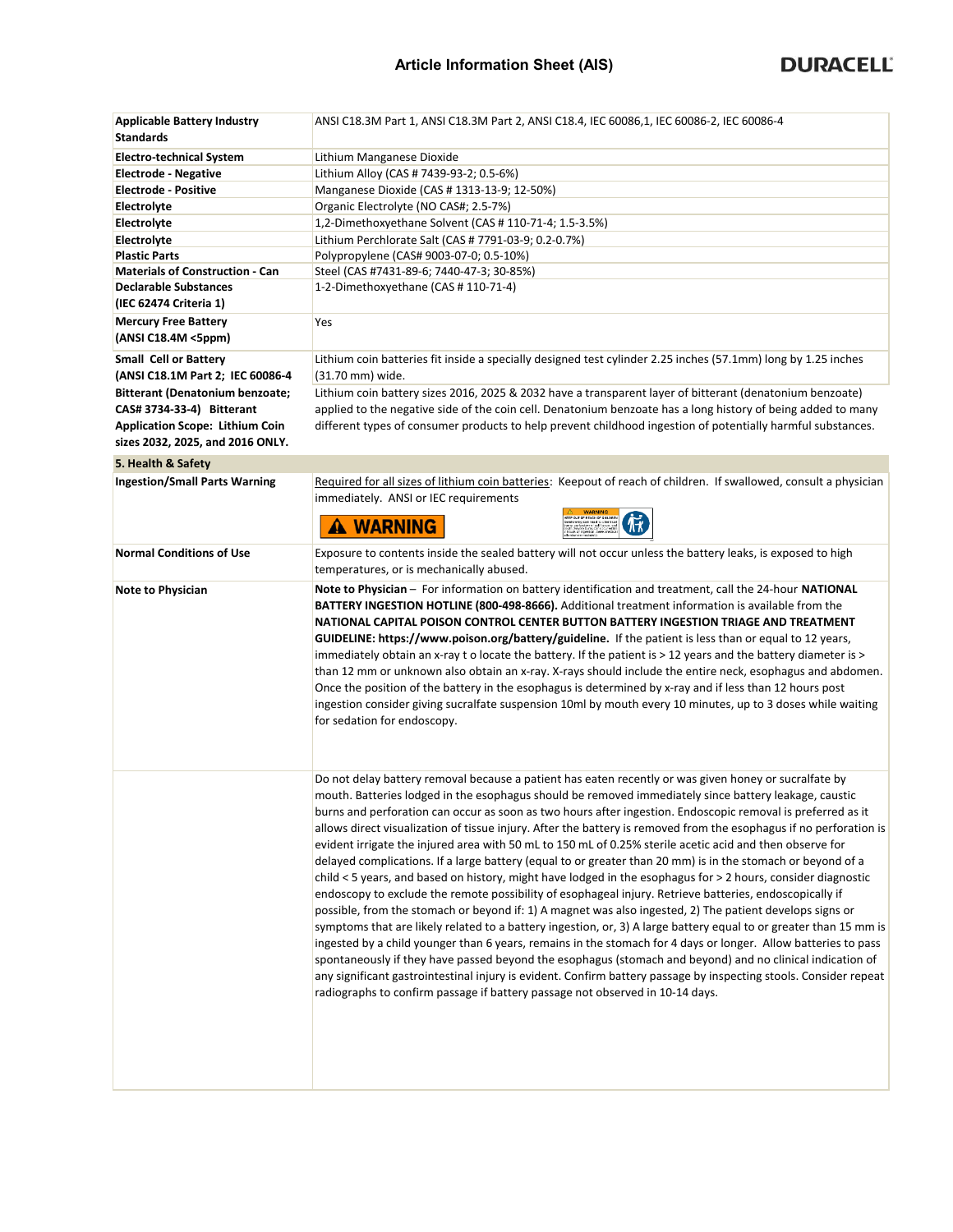| <b>Applicable Battery Industry</b><br><b>Standards</b>                     | ANSI C18.3M Part 1, ANSI C18.3M Part 2, ANSI C18.4, IEC 60086,1, IEC 60086-2, IEC 60086-4                                                                                                                                                                                                                                                                                                                                                                                                                                                                                                                                                                                                                                                                                                                                                                                                                                                                                                                                                                                                                                                                                                                                                                                                                                                                                                                                                                                                                                                                                       |
|----------------------------------------------------------------------------|---------------------------------------------------------------------------------------------------------------------------------------------------------------------------------------------------------------------------------------------------------------------------------------------------------------------------------------------------------------------------------------------------------------------------------------------------------------------------------------------------------------------------------------------------------------------------------------------------------------------------------------------------------------------------------------------------------------------------------------------------------------------------------------------------------------------------------------------------------------------------------------------------------------------------------------------------------------------------------------------------------------------------------------------------------------------------------------------------------------------------------------------------------------------------------------------------------------------------------------------------------------------------------------------------------------------------------------------------------------------------------------------------------------------------------------------------------------------------------------------------------------------------------------------------------------------------------|
| <b>Electro-technical System</b>                                            | Lithium Manganese Dioxide                                                                                                                                                                                                                                                                                                                                                                                                                                                                                                                                                                                                                                                                                                                                                                                                                                                                                                                                                                                                                                                                                                                                                                                                                                                                                                                                                                                                                                                                                                                                                       |
| <b>Electrode - Negative</b>                                                | Lithium Alloy (CAS # 7439-93-2; 0.5-6%)                                                                                                                                                                                                                                                                                                                                                                                                                                                                                                                                                                                                                                                                                                                                                                                                                                                                                                                                                                                                                                                                                                                                                                                                                                                                                                                                                                                                                                                                                                                                         |
| <b>Electrode - Positive</b>                                                | Manganese Dioxide (CAS # 1313-13-9; 12-50%)                                                                                                                                                                                                                                                                                                                                                                                                                                                                                                                                                                                                                                                                                                                                                                                                                                                                                                                                                                                                                                                                                                                                                                                                                                                                                                                                                                                                                                                                                                                                     |
| Electrolyte                                                                | Organic Electrolyte (NO CAS#; 2.5-7%)                                                                                                                                                                                                                                                                                                                                                                                                                                                                                                                                                                                                                                                                                                                                                                                                                                                                                                                                                                                                                                                                                                                                                                                                                                                                                                                                                                                                                                                                                                                                           |
| Electrolyte                                                                | 1,2-Dimethoxyethane Solvent (CAS # 110-71-4; 1.5-3.5%)                                                                                                                                                                                                                                                                                                                                                                                                                                                                                                                                                                                                                                                                                                                                                                                                                                                                                                                                                                                                                                                                                                                                                                                                                                                                                                                                                                                                                                                                                                                          |
| Electrolyte                                                                | Lithium Perchlorate Salt (CAS # 7791-03-9; 0.2-0.7%)                                                                                                                                                                                                                                                                                                                                                                                                                                                                                                                                                                                                                                                                                                                                                                                                                                                                                                                                                                                                                                                                                                                                                                                                                                                                                                                                                                                                                                                                                                                            |
| <b>Plastic Parts</b>                                                       | Polypropylene (CAS# 9003-07-0; 0.5-10%)                                                                                                                                                                                                                                                                                                                                                                                                                                                                                                                                                                                                                                                                                                                                                                                                                                                                                                                                                                                                                                                                                                                                                                                                                                                                                                                                                                                                                                                                                                                                         |
| <b>Materials of Construction - Can</b>                                     | Steel (CAS #7431-89-6; 7440-47-3; 30-85%)                                                                                                                                                                                                                                                                                                                                                                                                                                                                                                                                                                                                                                                                                                                                                                                                                                                                                                                                                                                                                                                                                                                                                                                                                                                                                                                                                                                                                                                                                                                                       |
| <b>Declarable Substances</b>                                               | 1-2-Dimethoxyethane (CAS # 110-71-4)                                                                                                                                                                                                                                                                                                                                                                                                                                                                                                                                                                                                                                                                                                                                                                                                                                                                                                                                                                                                                                                                                                                                                                                                                                                                                                                                                                                                                                                                                                                                            |
| (IEC 62474 Criteria 1)                                                     |                                                                                                                                                                                                                                                                                                                                                                                                                                                                                                                                                                                                                                                                                                                                                                                                                                                                                                                                                                                                                                                                                                                                                                                                                                                                                                                                                                                                                                                                                                                                                                                 |
| <b>Mercury Free Battery</b>                                                | Yes                                                                                                                                                                                                                                                                                                                                                                                                                                                                                                                                                                                                                                                                                                                                                                                                                                                                                                                                                                                                                                                                                                                                                                                                                                                                                                                                                                                                                                                                                                                                                                             |
| (ANSI C18.4M <5ppm)                                                        |                                                                                                                                                                                                                                                                                                                                                                                                                                                                                                                                                                                                                                                                                                                                                                                                                                                                                                                                                                                                                                                                                                                                                                                                                                                                                                                                                                                                                                                                                                                                                                                 |
| <b>Small Cell or Battery</b>                                               | Lithium coin batteries fit inside a specially designed test cylinder 2.25 inches (57.1mm) long by 1.25 inches                                                                                                                                                                                                                                                                                                                                                                                                                                                                                                                                                                                                                                                                                                                                                                                                                                                                                                                                                                                                                                                                                                                                                                                                                                                                                                                                                                                                                                                                   |
| (ANSI C18.1M Part 2; IEC 60086-4                                           | (31.70 mm) wide.                                                                                                                                                                                                                                                                                                                                                                                                                                                                                                                                                                                                                                                                                                                                                                                                                                                                                                                                                                                                                                                                                                                                                                                                                                                                                                                                                                                                                                                                                                                                                                |
| <b>Bitterant (Denatonium benzoate;</b>                                     | Lithium coin battery sizes 2016, 2025 & 2032 have a transparent layer of bitterant (denatonium benzoate)                                                                                                                                                                                                                                                                                                                                                                                                                                                                                                                                                                                                                                                                                                                                                                                                                                                                                                                                                                                                                                                                                                                                                                                                                                                                                                                                                                                                                                                                        |
| CAS# 3734-33-4) Bitterant                                                  | applied to the negative side of the coin cell. Denatonium benzoate has a long history of being added to many                                                                                                                                                                                                                                                                                                                                                                                                                                                                                                                                                                                                                                                                                                                                                                                                                                                                                                                                                                                                                                                                                                                                                                                                                                                                                                                                                                                                                                                                    |
| <b>Application Scope: Lithium Coin</b><br>sizes 2032, 2025, and 2016 ONLY. | different types of consumer products to help prevent childhood ingestion of potentially harmful substances.                                                                                                                                                                                                                                                                                                                                                                                                                                                                                                                                                                                                                                                                                                                                                                                                                                                                                                                                                                                                                                                                                                                                                                                                                                                                                                                                                                                                                                                                     |
| 5. Health & Safety                                                         |                                                                                                                                                                                                                                                                                                                                                                                                                                                                                                                                                                                                                                                                                                                                                                                                                                                                                                                                                                                                                                                                                                                                                                                                                                                                                                                                                                                                                                                                                                                                                                                 |
| <b>Ingestion/Small Parts Warning</b>                                       | Required for all sizes of lithium coin batteries: Keepout of reach of children. If swallowed, consult a physician<br>immediately. ANSI or IEC requirements<br>A WARNING                                                                                                                                                                                                                                                                                                                                                                                                                                                                                                                                                                                                                                                                                                                                                                                                                                                                                                                                                                                                                                                                                                                                                                                                                                                                                                                                                                                                         |
|                                                                            |                                                                                                                                                                                                                                                                                                                                                                                                                                                                                                                                                                                                                                                                                                                                                                                                                                                                                                                                                                                                                                                                                                                                                                                                                                                                                                                                                                                                                                                                                                                                                                                 |
| <b>Normal Conditions of Use</b>                                            | Exposure to contents inside the sealed battery will not occur unless the battery leaks, is exposed to high<br>temperatures, or is mechanically abused.                                                                                                                                                                                                                                                                                                                                                                                                                                                                                                                                                                                                                                                                                                                                                                                                                                                                                                                                                                                                                                                                                                                                                                                                                                                                                                                                                                                                                          |
| Note to Physician                                                          | Note to Physician - For information on battery identification and treatment, call the 24-hour NATIONAL<br>BATTERY INGESTION HOTLINE (800-498-8666). Additional treatment information is available from the<br>NATIONAL CAPITAL POISON CONTROL CENTER BUTTON BATTERY INGESTION TRIAGE AND TREATMENT<br>GUIDELINE: https://www.poison.org/battery/guideline. If the patient is less than or equal to 12 years,<br>immediately obtain an x-ray t o locate the battery. If the patient is > 12 years and the battery diameter is ><br>than 12 mm or unknown also obtain an x-ray. X-rays should include the entire neck, esophagus and abdomen.<br>Once the position of the battery in the esophagus is determined by x-ray and if less than 12 hours post<br>ingestion consider giving sucralfate suspension 10ml by mouth every 10 minutes, up to 3 doses while waiting<br>for sedation for endoscopy.                                                                                                                                                                                                                                                                                                                                                                                                                                                                                                                                                                                                                                                                            |
|                                                                            | Do not delay battery removal because a patient has eaten recently or was given honey or sucralfate by<br>mouth. Batteries lodged in the esophagus should be removed immediately since battery leakage, caustic<br>burns and perforation can occur as soon as two hours after ingestion. Endoscopic removal is preferred as it<br>allows direct visualization of tissue injury. After the battery is removed from the esophagus if no perforation is<br>evident irrigate the injured area with 50 mL to 150 mL of 0.25% sterile acetic acid and then observe for<br>delayed complications. If a large battery (equal to or greater than 20 mm) is in the stomach or beyond of a<br>child < 5 years, and based on history, might have lodged in the esophagus for > 2 hours, consider diagnostic<br>endoscopy to exclude the remote possibility of esophageal injury. Retrieve batteries, endoscopically if<br>possible, from the stomach or beyond if: 1) A magnet was also ingested, 2) The patient develops signs or<br>symptoms that are likely related to a battery ingestion, or, 3) A large battery equal to or greater than 15 mm is<br>ingested by a child younger than 6 years, remains in the stomach for 4 days or longer. Allow batteries to pass<br>spontaneously if they have passed beyond the esophagus (stomach and beyond) and no clinical indication of<br>any significant gastrointestinal injury is evident. Confirm battery passage by inspecting stools. Consider repeat<br>radiographs to confirm passage if battery passage not observed in 10-14 days. |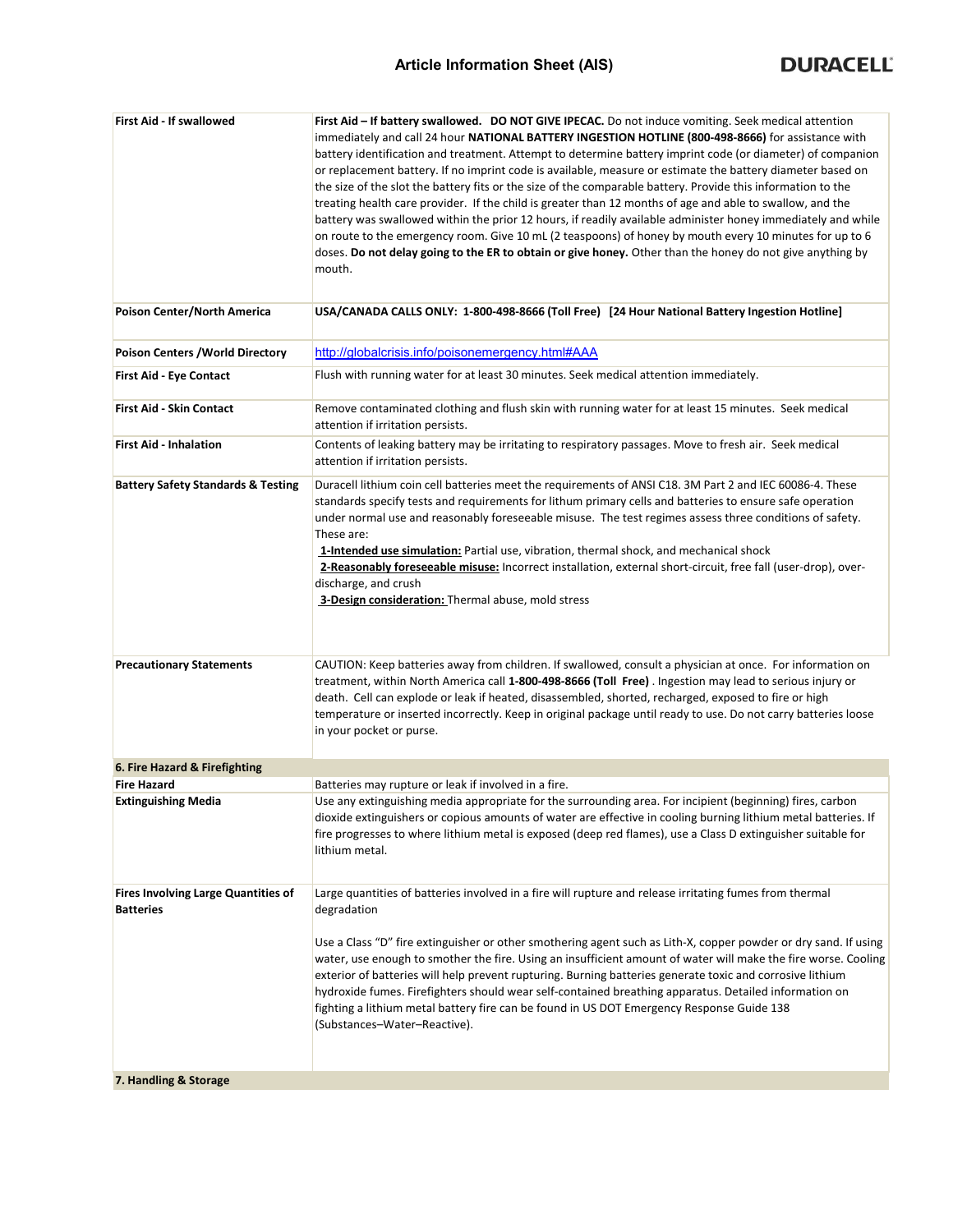| First Aid - If swallowed                      | First Aid - If battery swallowed. DO NOT GIVE IPECAC. Do not induce vomiting. Seek medical attention            |
|-----------------------------------------------|-----------------------------------------------------------------------------------------------------------------|
|                                               | immediately and call 24 hour NATIONAL BATTERY INGESTION HOTLINE (800-498-8666) for assistance with              |
|                                               | battery identification and treatment. Attempt to determine battery imprint code (or diameter) of companion      |
|                                               | or replacement battery. If no imprint code is available, measure or estimate the battery diameter based on      |
|                                               | the size of the slot the battery fits or the size of the comparable battery. Provide this information to the    |
|                                               | treating health care provider. If the child is greater than 12 months of age and able to swallow, and the       |
|                                               | battery was swallowed within the prior 12 hours, if readily available administer honey immediately and while    |
|                                               | on route to the emergency room. Give 10 mL (2 teaspoons) of honey by mouth every 10 minutes for up to 6         |
|                                               | doses. Do not delay going to the ER to obtain or give honey. Other than the honey do not give anything by       |
|                                               | mouth.                                                                                                          |
|                                               |                                                                                                                 |
| Poison Center/North America                   | USA/CANADA CALLS ONLY: 1-800-498-8666 (Toll Free) [24 Hour National Battery Ingestion Hotline]                  |
|                                               |                                                                                                                 |
|                                               | http://globalcrisis.info/poisonemergency.html#AAA                                                               |
| Poison Centers / World Directory              |                                                                                                                 |
| First Aid - Eye Contact                       | Flush with running water for at least 30 minutes. Seek medical attention immediately.                           |
|                                               |                                                                                                                 |
| <b>First Aid - Skin Contact</b>               | Remove contaminated clothing and flush skin with running water for at least 15 minutes. Seek medical            |
|                                               | attention if irritation persists.                                                                               |
| <b>First Aid - Inhalation</b>                 | Contents of leaking battery may be irritating to respiratory passages. Move to fresh air. Seek medical          |
|                                               | attention if irritation persists.                                                                               |
| <b>Battery Safety Standards &amp; Testing</b> | Duracell lithium coin cell batteries meet the requirements of ANSI C18. 3M Part 2 and IEC 60086-4. These        |
|                                               | standards specify tests and requirements for lithum primary cells and batteries to ensure safe operation        |
|                                               | under normal use and reasonably foreseeable misuse. The test regimes assess three conditions of safety.         |
|                                               | These are:                                                                                                      |
|                                               | 1-Intended use simulation: Partial use, vibration, thermal shock, and mechanical shock                          |
|                                               | 2-Reasonably foreseeable misuse: Incorrect installation, external short-circuit, free fall (user-drop), over-   |
|                                               | discharge, and crush                                                                                            |
|                                               | 3-Design consideration: Thermal abuse, mold stress                                                              |
|                                               |                                                                                                                 |
|                                               |                                                                                                                 |
| <b>Precautionary Statements</b>               | CAUTION: Keep batteries away from children. If swallowed, consult a physician at once. For information on       |
|                                               | treatment, within North America call 1-800-498-8666 (Toll Free). Ingestion may lead to serious injury or        |
|                                               | death. Cell can explode or leak if heated, disassembled, shorted, recharged, exposed to fire or high            |
|                                               | temperature or inserted incorrectly. Keep in original package until ready to use. Do not carry batteries loose  |
|                                               | in your pocket or purse.                                                                                        |
|                                               |                                                                                                                 |
| 6. Fire Hazard & Firefighting                 |                                                                                                                 |
| <b>Fire Hazard</b>                            | Batteries may rupture or leak if involved in a fire.                                                            |
| <b>Extinguishing Media</b>                    | Use any extinguishing media appropriate for the surrounding area. For incipient (beginning) fires, carbon       |
|                                               | dioxide extinguishers or copious amounts of water are effective in cooling burning lithium metal batteries. If  |
|                                               | fire progresses to where lithium metal is exposed (deep red flames), use a Class D extinguisher suitable for    |
|                                               | lithium metal.                                                                                                  |
|                                               |                                                                                                                 |
| Fires Involving Large Quantities of           | Large quantities of batteries involved in a fire will rupture and release irritating fumes from thermal         |
| <b>Batteries</b>                              | degradation                                                                                                     |
|                                               |                                                                                                                 |
|                                               | Use a Class "D" fire extinguisher or other smothering agent such as Lith-X, copper powder or dry sand. If using |
|                                               | water, use enough to smother the fire. Using an insufficient amount of water will make the fire worse. Cooling  |
|                                               | exterior of batteries will help prevent rupturing. Burning batteries generate toxic and corrosive lithium       |
|                                               | hydroxide fumes. Firefighters should wear self-contained breathing apparatus. Detailed information on           |
|                                               | fighting a lithium metal battery fire can be found in US DOT Emergency Response Guide 138                       |
|                                               | (Substances-Water-Reactive).                                                                                    |
|                                               |                                                                                                                 |
|                                               |                                                                                                                 |
| 7. Handling & Storage                         |                                                                                                                 |
|                                               |                                                                                                                 |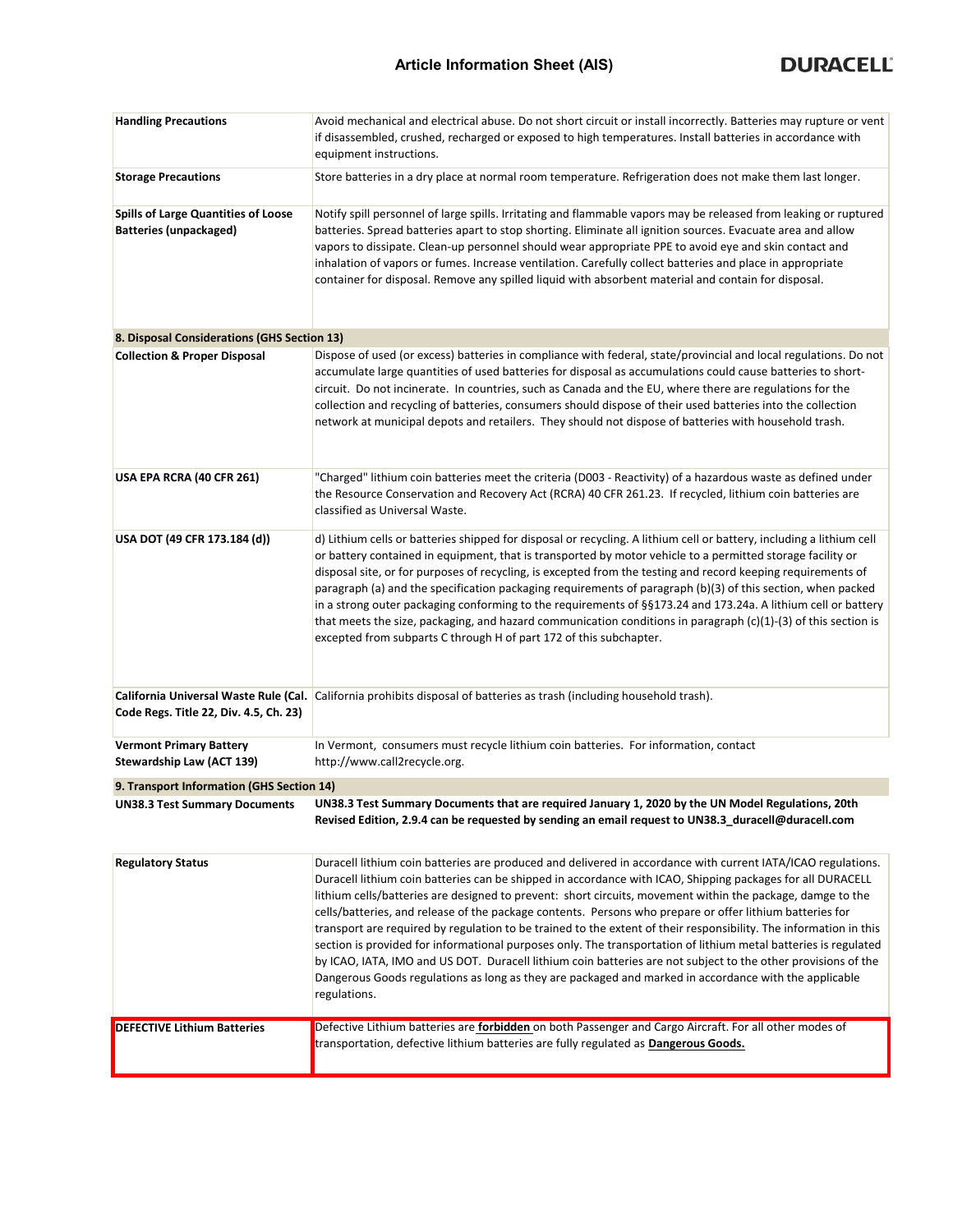| <b>Handling Precautions</b>                                                 | Avoid mechanical and electrical abuse. Do not short circuit or install incorrectly. Batteries may rupture or vent<br>if disassembled, crushed, recharged or exposed to high temperatures. Install batteries in accordance with<br>equipment instructions.                                                                                                                                                                                                                                                                                                                                                                                                                                                                                                                                                                                                                                                                              |  |  |  |  |
|-----------------------------------------------------------------------------|----------------------------------------------------------------------------------------------------------------------------------------------------------------------------------------------------------------------------------------------------------------------------------------------------------------------------------------------------------------------------------------------------------------------------------------------------------------------------------------------------------------------------------------------------------------------------------------------------------------------------------------------------------------------------------------------------------------------------------------------------------------------------------------------------------------------------------------------------------------------------------------------------------------------------------------|--|--|--|--|
| <b>Storage Precautions</b>                                                  | Store batteries in a dry place at normal room temperature. Refrigeration does not make them last longer.                                                                                                                                                                                                                                                                                                                                                                                                                                                                                                                                                                                                                                                                                                                                                                                                                               |  |  |  |  |
| <b>Spills of Large Quantities of Loose</b><br><b>Batteries (unpackaged)</b> | Notify spill personnel of large spills. Irritating and flammable vapors may be released from leaking or ruptured<br>batteries. Spread batteries apart to stop shorting. Eliminate all ignition sources. Evacuate area and allow<br>vapors to dissipate. Clean-up personnel should wear appropriate PPE to avoid eye and skin contact and<br>inhalation of vapors or fumes. Increase ventilation. Carefully collect batteries and place in appropriate<br>container for disposal. Remove any spilled liquid with absorbent material and contain for disposal.                                                                                                                                                                                                                                                                                                                                                                           |  |  |  |  |
| 8. Disposal Considerations (GHS Section 13)                                 |                                                                                                                                                                                                                                                                                                                                                                                                                                                                                                                                                                                                                                                                                                                                                                                                                                                                                                                                        |  |  |  |  |
| <b>Collection &amp; Proper Disposal</b>                                     | Dispose of used (or excess) batteries in compliance with federal, state/provincial and local regulations. Do not<br>accumulate large quantities of used batteries for disposal as accumulations could cause batteries to short-<br>circuit. Do not incinerate. In countries, such as Canada and the EU, where there are regulations for the<br>collection and recycling of batteries, consumers should dispose of their used batteries into the collection<br>network at municipal depots and retailers. They should not dispose of batteries with household trash.                                                                                                                                                                                                                                                                                                                                                                    |  |  |  |  |
| USA EPA RCRA (40 CFR 261)                                                   | "Charged" lithium coin batteries meet the criteria (D003 - Reactivity) of a hazardous waste as defined under<br>the Resource Conservation and Recovery Act (RCRA) 40 CFR 261.23. If recycled, lithium coin batteries are<br>classified as Universal Waste.                                                                                                                                                                                                                                                                                                                                                                                                                                                                                                                                                                                                                                                                             |  |  |  |  |
| USA DOT (49 CFR 173.184 (d))                                                | d) Lithium cells or batteries shipped for disposal or recycling. A lithium cell or battery, including a lithium cell<br>or battery contained in equipment, that is transported by motor vehicle to a permitted storage facility or<br>disposal site, or for purposes of recycling, is excepted from the testing and record keeping requirements of<br>paragraph (a) and the specification packaging requirements of paragraph (b)(3) of this section, when packed<br>in a strong outer packaging conforming to the requirements of §§173.24 and 173.24a. A lithium cell or battery<br>that meets the size, packaging, and hazard communication conditions in paragraph $(c)(1)-(3)$ of this section is<br>excepted from subparts C through H of part 172 of this subchapter.                                                                                                                                                           |  |  |  |  |
| Code Regs. Title 22, Div. 4.5, Ch. 23)                                      | California Universal Waste Rule (Cal. California prohibits disposal of batteries as trash (including household trash).                                                                                                                                                                                                                                                                                                                                                                                                                                                                                                                                                                                                                                                                                                                                                                                                                 |  |  |  |  |
| <b>Vermont Primary Battery</b><br>Stewardship Law (ACT 139)                 | In Vermont, consumers must recycle lithium coin batteries. For information, contact<br>http://www.call2recycle.org.                                                                                                                                                                                                                                                                                                                                                                                                                                                                                                                                                                                                                                                                                                                                                                                                                    |  |  |  |  |
| 9. Transport Information (GHS Section 14)                                   |                                                                                                                                                                                                                                                                                                                                                                                                                                                                                                                                                                                                                                                                                                                                                                                                                                                                                                                                        |  |  |  |  |
| <b>UN38.3 Test Summary Documents</b>                                        | UN38.3 Test Summary Documents that are required January 1, 2020 by the UN Model Regulations, 20th<br>Revised Edition, 2.9.4 can be requested by sending an email request to UN38.3_duracell@duracell.com                                                                                                                                                                                                                                                                                                                                                                                                                                                                                                                                                                                                                                                                                                                               |  |  |  |  |
| <b>Regulatory Status</b>                                                    | Duracell lithium coin batteries are produced and delivered in accordance with current IATA/ICAO regulations.<br>Duracell lithium coin batteries can be shipped in accordance with ICAO, Shipping packages for all DURACELL<br>lithium cells/batteries are designed to prevent: short circuits, movement within the package, damge to the<br>cells/batteries, and release of the package contents. Persons who prepare or offer lithium batteries for<br>transport are required by regulation to be trained to the extent of their responsibility. The information in this<br>section is provided for informational purposes only. The transportation of lithium metal batteries is regulated<br>by ICAO, IATA, IMO and US DOT. Duracell lithium coin batteries are not subject to the other provisions of the<br>Dangerous Goods regulations as long as they are packaged and marked in accordance with the applicable<br>regulations. |  |  |  |  |
| <b>DEFECTIVE Lithium Batteries</b>                                          | Defective Lithium batteries are forbidden on both Passenger and Cargo Aircraft. For all other modes of<br>transportation, defective lithium batteries are fully regulated as Dangerous Goods.                                                                                                                                                                                                                                                                                                                                                                                                                                                                                                                                                                                                                                                                                                                                          |  |  |  |  |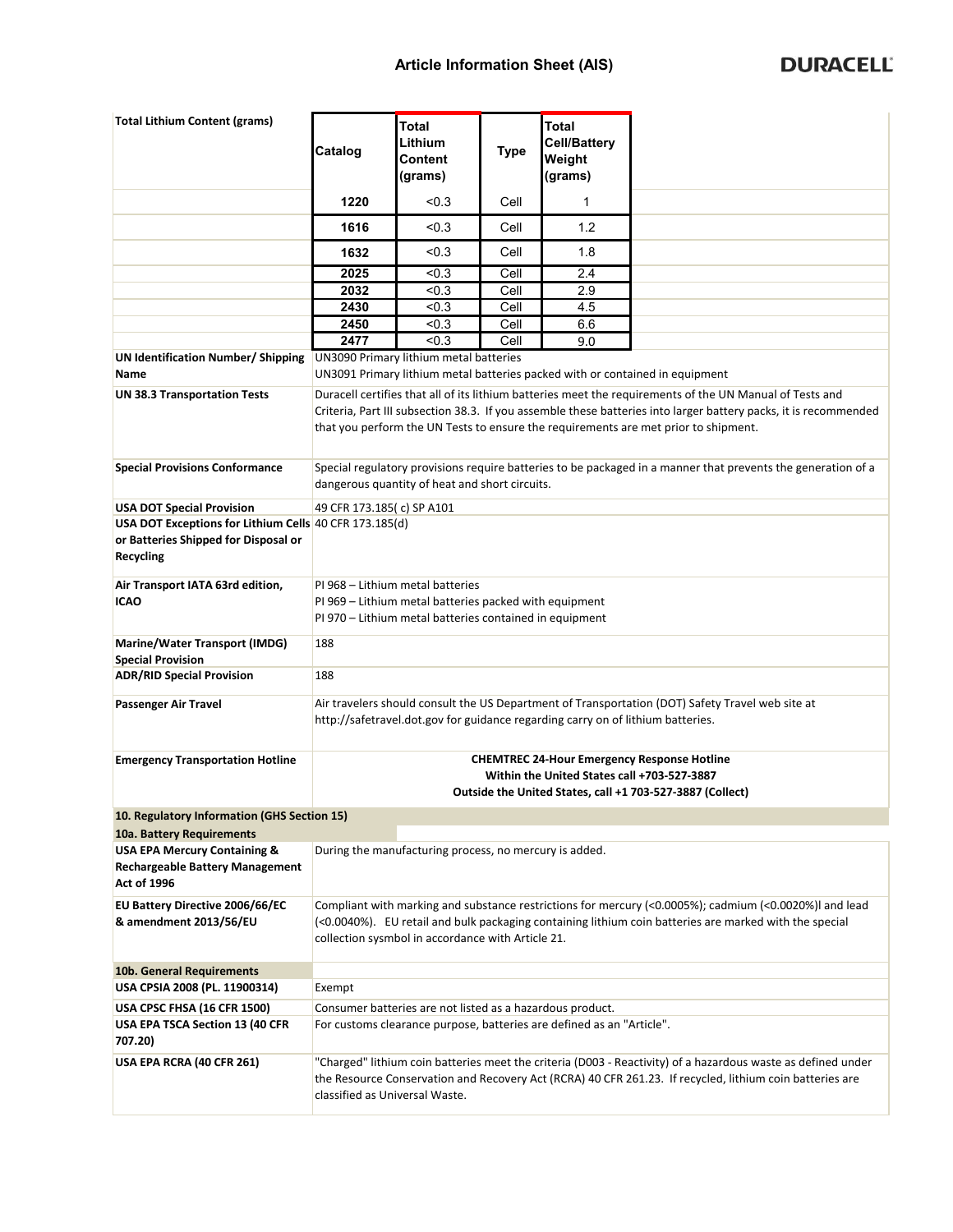## **Article Information Sheet (AIS)**

| <b>Total Lithium Content (grams)</b>                                                                               | Catalog                                                                                                                                                                                                                                                                                                             | <b>Total</b><br>Lithium                                                                                                                                        | <b>Type</b> | <b>Total</b><br><b>Cell/Battery</b>                                             |                                                                                                              |  |
|--------------------------------------------------------------------------------------------------------------------|---------------------------------------------------------------------------------------------------------------------------------------------------------------------------------------------------------------------------------------------------------------------------------------------------------------------|----------------------------------------------------------------------------------------------------------------------------------------------------------------|-------------|---------------------------------------------------------------------------------|--------------------------------------------------------------------------------------------------------------|--|
|                                                                                                                    |                                                                                                                                                                                                                                                                                                                     | Content<br>(grams)                                                                                                                                             |             | Weight<br>(grams)                                                               |                                                                                                              |  |
|                                                                                                                    | 1220                                                                                                                                                                                                                                                                                                                | < 0.3                                                                                                                                                          | Cell        | 1                                                                               |                                                                                                              |  |
|                                                                                                                    | 1616                                                                                                                                                                                                                                                                                                                | < 0.3                                                                                                                                                          | Cell        | 1.2                                                                             |                                                                                                              |  |
|                                                                                                                    | 1632                                                                                                                                                                                                                                                                                                                | < 0.3                                                                                                                                                          | Cell        | 1.8                                                                             |                                                                                                              |  |
|                                                                                                                    | 2025                                                                                                                                                                                                                                                                                                                | < 0.3                                                                                                                                                          | Cell        | 2.4                                                                             |                                                                                                              |  |
|                                                                                                                    | 2032                                                                                                                                                                                                                                                                                                                | < 0.3                                                                                                                                                          | Cell        | 2.9                                                                             |                                                                                                              |  |
|                                                                                                                    | 2430                                                                                                                                                                                                                                                                                                                | < 0.3                                                                                                                                                          | Cell        | 4.5                                                                             |                                                                                                              |  |
|                                                                                                                    | 2450                                                                                                                                                                                                                                                                                                                | < 0.3                                                                                                                                                          | Cell        | 6.6                                                                             |                                                                                                              |  |
|                                                                                                                    | 2477                                                                                                                                                                                                                                                                                                                | < 0.3                                                                                                                                                          | Cell        | 9.0                                                                             |                                                                                                              |  |
| UN Identification Number/ Shipping<br>Name                                                                         |                                                                                                                                                                                                                                                                                                                     | UN3090 Primary lithium metal batteries                                                                                                                         |             |                                                                                 | UN3091 Primary lithium metal batteries packed with or contained in equipment                                 |  |
| <b>UN 38.3 Transportation Tests</b>                                                                                | Duracell certifies that all of its lithium batteries meet the requirements of the UN Manual of Tests and<br>Criteria, Part III subsection 38.3. If you assemble these batteries into larger battery packs, it is recommended<br>that you perform the UN Tests to ensure the requirements are met prior to shipment. |                                                                                                                                                                |             |                                                                                 |                                                                                                              |  |
| <b>Special Provisions Conformance</b>                                                                              |                                                                                                                                                                                                                                                                                                                     | Special regulatory provisions require batteries to be packaged in a manner that prevents the generation of a<br>dangerous quantity of heat and short circuits. |             |                                                                                 |                                                                                                              |  |
| <b>USA DOT Special Provision</b>                                                                                   | 49 CFR 173.185(c) SP A101                                                                                                                                                                                                                                                                                           |                                                                                                                                                                |             |                                                                                 |                                                                                                              |  |
| USA DOT Exceptions for Lithium Cells 40 CFR 173.185(d)<br>or Batteries Shipped for Disposal or<br><b>Recycling</b> |                                                                                                                                                                                                                                                                                                                     |                                                                                                                                                                |             |                                                                                 |                                                                                                              |  |
| Air Transport IATA 63rd edition,<br><b>ICAO</b>                                                                    | PI 968 - Lithium metal batteries<br>PI 969 - Lithium metal batteries packed with equipment<br>PI 970 – Lithium metal batteries contained in equipment                                                                                                                                                               |                                                                                                                                                                |             |                                                                                 |                                                                                                              |  |
| Marine/Water Transport (IMDG)                                                                                      | 188                                                                                                                                                                                                                                                                                                                 |                                                                                                                                                                |             |                                                                                 |                                                                                                              |  |
| <b>Special Provision</b><br><b>ADR/RID Special Provision</b>                                                       | 188                                                                                                                                                                                                                                                                                                                 |                                                                                                                                                                |             |                                                                                 |                                                                                                              |  |
| Passenger Air Travel                                                                                               |                                                                                                                                                                                                                                                                                                                     |                                                                                                                                                                |             | http://safetravel.dot.gov for guidance regarding carry on of lithium batteries. | Air travelers should consult the US Department of Transportation (DOT) Safety Travel web site at             |  |
| <b>Emergency Transportation Hotline</b>                                                                            | <b>CHEMTREC 24-Hour Emergency Response Hotline</b><br>Within the United States call +703-527-3887                                                                                                                                                                                                                   |                                                                                                                                                                |             |                                                                                 |                                                                                                              |  |
|                                                                                                                    |                                                                                                                                                                                                                                                                                                                     |                                                                                                                                                                |             |                                                                                 | Outside the United States, call +1 703-527-3887 (Collect)                                                    |  |
| 10. Regulatory Information (GHS Section 15)                                                                        |                                                                                                                                                                                                                                                                                                                     |                                                                                                                                                                |             |                                                                                 |                                                                                                              |  |
| 10a. Battery Requirements                                                                                          |                                                                                                                                                                                                                                                                                                                     |                                                                                                                                                                |             |                                                                                 |                                                                                                              |  |
| <b>USA EPA Mercury Containing &amp;</b><br><b>Rechargeable Battery Management</b><br><b>Act of 1996</b>            |                                                                                                                                                                                                                                                                                                                     | During the manufacturing process, no mercury is added.                                                                                                         |             |                                                                                 |                                                                                                              |  |
| EU Battery Directive 2006/66/EC                                                                                    |                                                                                                                                                                                                                                                                                                                     |                                                                                                                                                                |             |                                                                                 | Compliant with marking and substance restrictions for mercury (<0.0005%); cadmium (<0.0020%) and lead        |  |
| & amendment 2013/56/EU                                                                                             | (<0.0040%). EU retail and bulk packaging containing lithium coin batteries are marked with the special<br>collection sysmbol in accordance with Article 21.                                                                                                                                                         |                                                                                                                                                                |             |                                                                                 |                                                                                                              |  |
| 10b. General Requirements                                                                                          |                                                                                                                                                                                                                                                                                                                     |                                                                                                                                                                |             |                                                                                 |                                                                                                              |  |
| USA CPSIA 2008 (PL. 11900314)                                                                                      | Exempt                                                                                                                                                                                                                                                                                                              |                                                                                                                                                                |             |                                                                                 |                                                                                                              |  |
| <b>USA CPSC FHSA (16 CFR 1500)</b>                                                                                 |                                                                                                                                                                                                                                                                                                                     | Consumer batteries are not listed as a hazardous product.                                                                                                      |             |                                                                                 |                                                                                                              |  |
| USA EPA TSCA Section 13 (40 CFR                                                                                    |                                                                                                                                                                                                                                                                                                                     |                                                                                                                                                                |             | For customs clearance purpose, batteries are defined as an "Article".           |                                                                                                              |  |
| 707.20)                                                                                                            |                                                                                                                                                                                                                                                                                                                     |                                                                                                                                                                |             |                                                                                 |                                                                                                              |  |
| USA EPA RCRA (40 CFR 261)                                                                                          |                                                                                                                                                                                                                                                                                                                     |                                                                                                                                                                |             |                                                                                 | "Charged" lithium coin batteries meet the criteria (D003 - Reactivity) of a hazardous waste as defined under |  |
|                                                                                                                    | classified as Universal Waste.                                                                                                                                                                                                                                                                                      |                                                                                                                                                                |             |                                                                                 | the Resource Conservation and Recovery Act (RCRA) 40 CFR 261.23. If recycled, lithium coin batteries are     |  |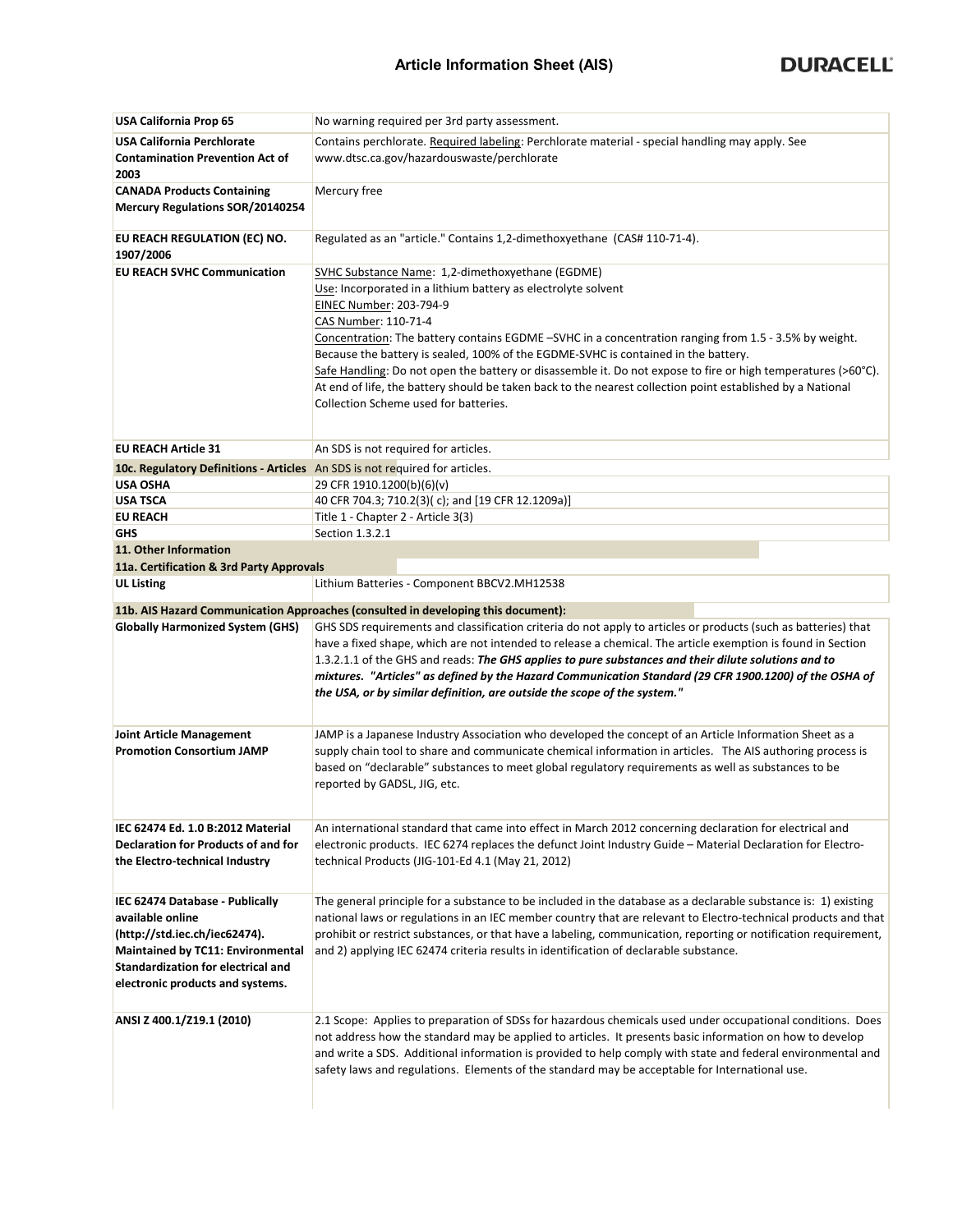| <b>USA California Prop 65</b>                                                                                                                                                                                     | No warning required per 3rd party assessment.                                                                                                                                                                                                                                                                                                                                                                                                                                                                                                                                                                                               |  |  |  |  |  |
|-------------------------------------------------------------------------------------------------------------------------------------------------------------------------------------------------------------------|---------------------------------------------------------------------------------------------------------------------------------------------------------------------------------------------------------------------------------------------------------------------------------------------------------------------------------------------------------------------------------------------------------------------------------------------------------------------------------------------------------------------------------------------------------------------------------------------------------------------------------------------|--|--|--|--|--|
| <b>USA California Perchlorate</b><br><b>Contamination Prevention Act of</b>                                                                                                                                       | Contains perchlorate. Required labeling: Perchlorate material - special handling may apply. See<br>www.dtsc.ca.gov/hazardouswaste/perchlorate                                                                                                                                                                                                                                                                                                                                                                                                                                                                                               |  |  |  |  |  |
| 2003                                                                                                                                                                                                              |                                                                                                                                                                                                                                                                                                                                                                                                                                                                                                                                                                                                                                             |  |  |  |  |  |
| <b>CANADA Products Containing</b><br><b>Mercury Regulations SOR/20140254</b>                                                                                                                                      | Mercury free                                                                                                                                                                                                                                                                                                                                                                                                                                                                                                                                                                                                                                |  |  |  |  |  |
| EU REACH REGULATION (EC) NO.<br>1907/2006                                                                                                                                                                         | Regulated as an "article." Contains 1,2-dimethoxyethane (CAS# 110-71-4).                                                                                                                                                                                                                                                                                                                                                                                                                                                                                                                                                                    |  |  |  |  |  |
| <b>EU REACH SVHC Communication</b>                                                                                                                                                                                | SVHC Substance Name: 1,2-dimethoxyethane (EGDME)<br>Use: Incorporated in a lithium battery as electrolyte solvent<br>EINEC Number: 203-794-9<br>CAS Number: 110-71-4<br>Concentration: The battery contains EGDME -SVHC in a concentration ranging from 1.5 - 3.5% by weight.<br>Because the battery is sealed, 100% of the EGDME-SVHC is contained in the battery.<br>Safe Handling: Do not open the battery or disassemble it. Do not expose to fire or high temperatures (>60°C).<br>At end of life, the battery should be taken back to the nearest collection point established by a National<br>Collection Scheme used for batteries. |  |  |  |  |  |
| <b>EU REACH Article 31</b>                                                                                                                                                                                        | An SDS is not required for articles.                                                                                                                                                                                                                                                                                                                                                                                                                                                                                                                                                                                                        |  |  |  |  |  |
| 10c. Regulatory Definitions - Articles An SDS is not required for articles.                                                                                                                                       |                                                                                                                                                                                                                                                                                                                                                                                                                                                                                                                                                                                                                                             |  |  |  |  |  |
| USA OSHA                                                                                                                                                                                                          | 29 CFR 1910.1200(b)(6)(v)                                                                                                                                                                                                                                                                                                                                                                                                                                                                                                                                                                                                                   |  |  |  |  |  |
| USA TSCA                                                                                                                                                                                                          | 40 CFR 704.3; 710.2(3)(c); and [19 CFR 12.1209a)]                                                                                                                                                                                                                                                                                                                                                                                                                                                                                                                                                                                           |  |  |  |  |  |
| <b>EU REACH</b>                                                                                                                                                                                                   | Title 1 - Chapter 2 - Article 3(3)                                                                                                                                                                                                                                                                                                                                                                                                                                                                                                                                                                                                          |  |  |  |  |  |
| GHS                                                                                                                                                                                                               | Section 1.3.2.1                                                                                                                                                                                                                                                                                                                                                                                                                                                                                                                                                                                                                             |  |  |  |  |  |
| 11. Other Information                                                                                                                                                                                             |                                                                                                                                                                                                                                                                                                                                                                                                                                                                                                                                                                                                                                             |  |  |  |  |  |
| 11a. Certification & 3rd Party Approvals                                                                                                                                                                          |                                                                                                                                                                                                                                                                                                                                                                                                                                                                                                                                                                                                                                             |  |  |  |  |  |
| <b>UL Listing</b>                                                                                                                                                                                                 | Lithium Batteries - Component BBCV2.MH12538                                                                                                                                                                                                                                                                                                                                                                                                                                                                                                                                                                                                 |  |  |  |  |  |
|                                                                                                                                                                                                                   | 11b. AIS Hazard Communication Approaches (consulted in developing this document):                                                                                                                                                                                                                                                                                                                                                                                                                                                                                                                                                           |  |  |  |  |  |
| <b>Globally Harmonized System (GHS)</b>                                                                                                                                                                           | GHS SDS requirements and classification criteria do not apply to articles or products (such as batteries) that<br>have a fixed shape, which are not intended to release a chemical. The article exemption is found in Section<br>1.3.2.1.1 of the GHS and reads: The GHS applies to pure substances and their dilute solutions and to<br>mixtures. "Articles" as defined by the Hazard Communication Standard (29 CFR 1900.1200) of the OSHA of<br>the USA, or by similar definition, are outside the scope of the system."                                                                                                                 |  |  |  |  |  |
| <b>Joint Article Management</b><br><b>Promotion Consortium JAMP</b>                                                                                                                                               | JAMP is a Japanese Industry Association who developed the concept of an Article Information Sheet as a<br>supply chain tool to share and communicate chemical information in articles. The AIS authoring process is<br>based on "declarable" substances to meet global regulatory requirements as well as substances to be<br>reported by GADSL, JIG, etc.                                                                                                                                                                                                                                                                                  |  |  |  |  |  |
| IEC 62474 Ed. 1.0 B:2012 Material<br><b>Declaration for Products of and for</b><br>the Electro-technical Industry                                                                                                 | An international standard that came into effect in March 2012 concerning declaration for electrical and<br>electronic products. IEC 6274 replaces the defunct Joint Industry Guide - Material Declaration for Electro-<br>technical Products (JIG-101-Ed 4.1 (May 21, 2012)                                                                                                                                                                                                                                                                                                                                                                 |  |  |  |  |  |
| IEC 62474 Database - Publically<br>available online<br>(http://std.iec.ch/iec62474).<br><b>Maintained by TC11: Environmental</b><br><b>Standardization for electrical and</b><br>electronic products and systems. | The general principle for a substance to be included in the database as a declarable substance is: 1) existing<br>national laws or regulations in an IEC member country that are relevant to Electro-technical products and that<br>prohibit or restrict substances, or that have a labeling, communication, reporting or notification requirement,<br>and 2) applying IEC 62474 criteria results in identification of declarable substance.                                                                                                                                                                                                |  |  |  |  |  |
| ANSI Z 400.1/Z19.1 (2010)                                                                                                                                                                                         | 2.1 Scope: Applies to preparation of SDSs for hazardous chemicals used under occupational conditions. Does<br>not address how the standard may be applied to articles. It presents basic information on how to develop<br>and write a SDS. Additional information is provided to help comply with state and federal environmental and<br>safety laws and regulations. Elements of the standard may be acceptable for International use.                                                                                                                                                                                                     |  |  |  |  |  |